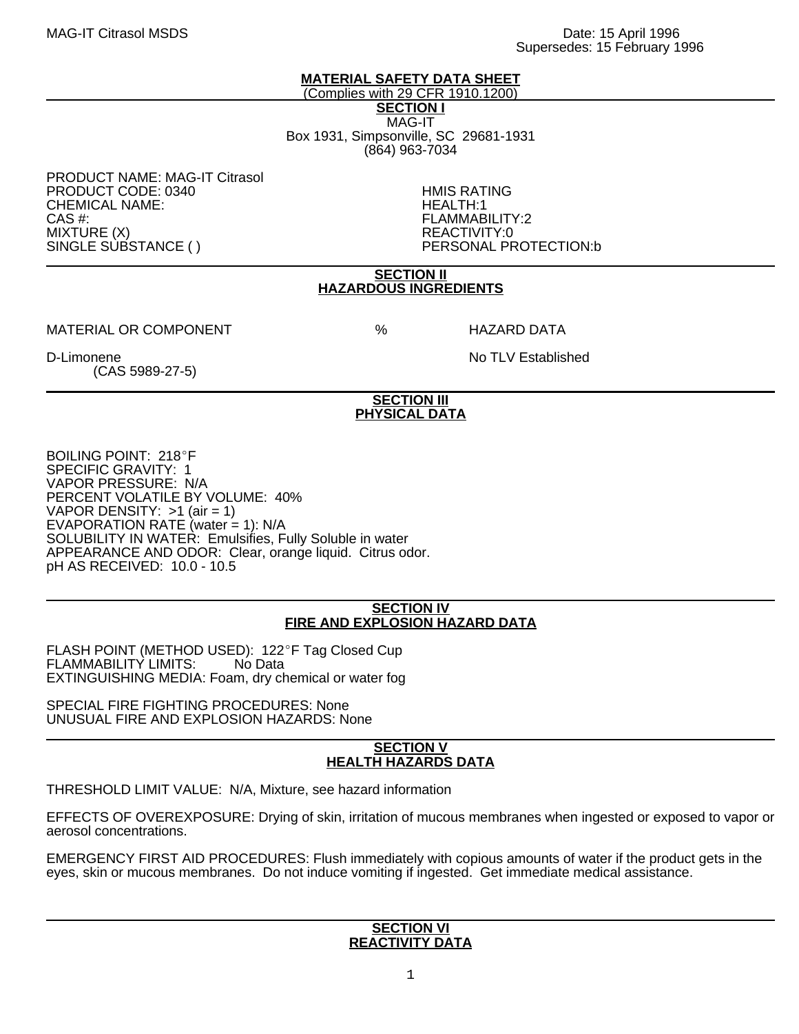## **MATERIAL SAFETY DATA SHEET**

(Complies with 29 CFR 1910.1200) **SECTION I** MAG-IT Box 1931, Simpsonville, SC 29681-1931 (864) 963-7034

PRODUCT NAME: MAG-IT Citrasol PRODUCT CODE: 0340 HMIS RATING CHEMICAL NAME:<br>CAS #: MIXTURE (X)<br>SINGLE SUBSTANCE ()

FLAMMABILITY:2<br>REACTIVITY:0 PERSONAL PROTECTION:b

### **SECTION II HAZARDOUS INGREDIENTS**

MATERIAL OR COMPONENT  $\begin{array}{ccc} & & \circ & \circ \end{array}$  HAZARD DATA

(CAS 5989-27-5)

D-Limonene No TLV Established

# **SECTION III PHYSICAL DATA**

BOILING POINT: 218°F SPECIFIC GRAVITY: 1 VAPOR PRESSURE: N/A PERCENT VOLATILE BY VOLUME: 40% VAPOR DENSITY:  $>1$  (air = 1) EVAPORATION RATE (water  $= 1$ ): N/A SOLUBILITY IN WATER: Emulsifies, Fully Soluble in water APPEARANCE AND ODOR: Clear, orange liquid. Citrus odor. pH AS RECEIVED: 10.0 - 10.5

### **SECTION IV FIRE AND EXPLOSION HAZARD DATA**

FLASH POINT (METHOD USED): 122°F Tag Closed Cup<br>FLAMMABILITY LIMITS: No Data FLAMMABILITY LIMITS: EXTINGUISHING MEDIA: Foam, dry chemical or water fog

SPECIAL FIRE FIGHTING PROCEDURES: None UNUSUAL FIRE AND EXPLOSION HAZARDS: None

#### **SECTION V HEALTH HAZARDS DATA**

THRESHOLD LIMIT VALUE: N/A, Mixture, see hazard information

EFFECTS OF OVEREXPOSURE: Drying of skin, irritation of mucous membranes when ingested or exposed to vapor or aerosol concentrations.

EMERGENCY FIRST AID PROCEDURES: Flush immediately with copious amounts of water if the product gets in the eyes, skin or mucous membranes. Do not induce vomiting if ingested. Get immediate medical assistance.

#### **SECTION VI REACTIVITY DATA**